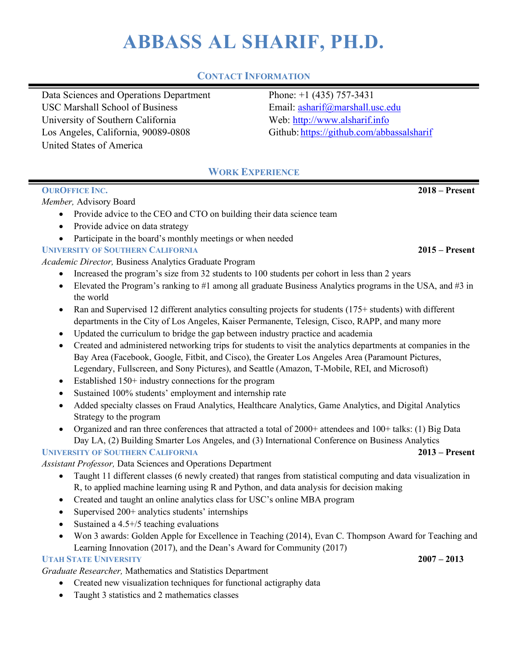# **ABBASS AL SHARIF, PH.D.**

# **CONTACT INFORMATION**

Data Sciences and Operations Department Phone: +1 (435) 757-3431 USC Marshall School of Business Email: asharif@marshall.usc.edu University of Southern California Web: http://www.alsharif.info Los Angeles, California, 90089-0808 Github: https://github.com/abbassalsharif United States of America

# **WORK EXPERIENCE**

### **OUROFFICE INC. 2018 – Present**

*Member,* Advisory Board

- Provide advice to the CEO and CTO on building their data science team
- Provide advice on data strategy
- Participate in the board's monthly meetings or when needed

# **UNIVERSITY OF SOUTHERN CALIFORNIA 2015 – Present**

*Academic Director,* Business Analytics Graduate Program

- Increased the program's size from 32 students to 100 students per cohort in less than 2 years
- Elevated the Program's ranking to  $#1$  among all graduate Business Analytics programs in the USA, and  $#3$  in the world
- Ran and Supervised 12 different analytics consulting projects for students (175+ students) with different departments in the City of Los Angeles, Kaiser Permanente, Telesign, Cisco, RAPP, and many more
- Updated the curriculum to bridge the gap between industry practice and academia
- Created and administered networking trips for students to visit the analytics departments at companies in the Bay Area (Facebook, Google, Fitbit, and Cisco), the Greater Los Angeles Area (Paramount Pictures, Legendary, Fullscreen, and Sony Pictures), and Seattle (Amazon, T-Mobile, REI, and Microsoft)
- Established 150+ industry connections for the program
- Sustained 100% students' employment and internship rate
- Added specialty classes on Fraud Analytics, Healthcare Analytics, Game Analytics, and Digital Analytics Strategy to the program
- Organized and ran three conferences that attracted a total of 2000+ attendees and 100+ talks: (1) Big Data Day LA, (2) Building Smarter Los Angeles, and (3) International Conference on Business Analytics

# **UNIVERSITY OF SOUTHERN CALIFORNIA 2013 – Present**

*Assistant Professor,* Data Sciences and Operations Department

- Taught 11 different classes (6 newly created) that ranges from statistical computing and data visualization in R, to applied machine learning using R and Python, and data analysis for decision making
- Created and taught an online analytics class for USC's online MBA program
- Supervised 200+ analytics students' internships
- Sustained a 4.5+/5 teaching evaluations
- Won 3 awards: Golden Apple for Excellence in Teaching (2014), Evan C. Thompson Award for Teaching and Learning Innovation (2017), and the Dean's Award for Community (2017)

# **UTAH STATE UNIVERSITY 2007 – 2013**

*Graduate Researcher,* Mathematics and Statistics Department

- Created new visualization techniques for functional actigraphy data
- Taught 3 statistics and 2 mathematics classes